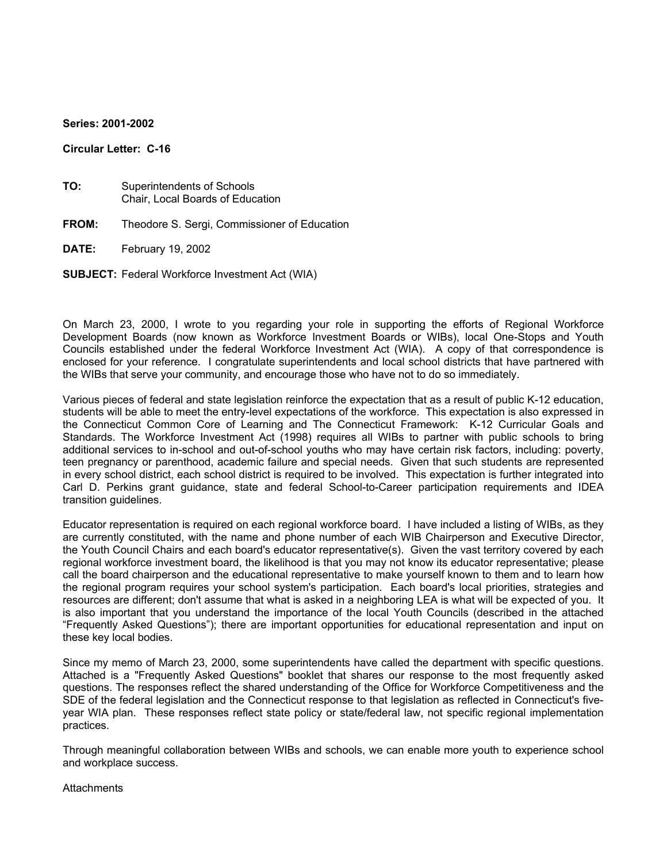#### **Series: 2001-2002**

#### **Circular Letter: C-16**

- **TO:** Superintendents of Schools Chair, Local Boards of Education
- **FROM:** Theodore S. Sergi, Commissioner of Education
- **DATE:** February 19, 2002
- **SUBJECT:** Federal Workforce Investment Act (WIA)

On March 23, 2000, I wrote to you regarding your role in supporting the efforts of Regional Workforce Development Boards (now known as Workforce Investment Boards or WIBs), local One-Stops and Youth Councils established under the federal Workforce Investment Act (WIA). A copy of that correspondence is enclosed for your reference. I congratulate superintendents and local school districts that have partnered with the WIBs that serve your community, and encourage those who have not to do so immediately.

Various pieces of federal and state legislation reinforce the expectation that as a result of public K-12 education, students will be able to meet the entry-level expectations of the workforce. This expectation is also expressed in the Connecticut Common Core of Learning and The Connecticut Framework: K-12 Curricular Goals and Standards. The Workforce Investment Act (1998) requires all WIBs to partner with public schools to bring additional services to in-school and out-of-school youths who may have certain risk factors, including: poverty, teen pregnancy or parenthood, academic failure and special needs. Given that such students are represented in every school district, each school district is required to be involved. This expectation is further integrated into Carl D. Perkins grant guidance, state and federal School-to-Career participation requirements and IDEA transition guidelines.

Educator representation is required on each regional workforce board. I have included a listing of WIBs, as they are currently constituted, with the name and phone number of each WIB Chairperson and Executive Director, the Youth Council Chairs and each board's educator representative(s). Given the vast territory covered by each regional workforce investment board, the likelihood is that you may not know its educator representative; please call the board chairperson and the educational representative to make yourself known to them and to learn how the regional program requires your school system's participation. Each board's local priorities, strategies and resources are different; don't assume that what is asked in a neighboring LEA is what will be expected of you. It is also important that you understand the importance of the local Youth Councils (described in the attached "Frequently Asked Questions"); there are important opportunities for educational representation and input on these key local bodies.

Since my memo of March 23, 2000, some superintendents have called the department with specific questions. Attached is a "Frequently Asked Questions" booklet that shares our response to the most frequently asked questions. The responses reflect the shared understanding of the Office for Workforce Competitiveness and the SDE of the federal legislation and the Connecticut response to that legislation as reflected in Connecticut's fiveyear WIA plan. These responses reflect state policy or state/federal law, not specific regional implementation practices.

Through meaningful collaboration between WIBs and schools, we can enable more youth to experience school and workplace success.

**Attachments**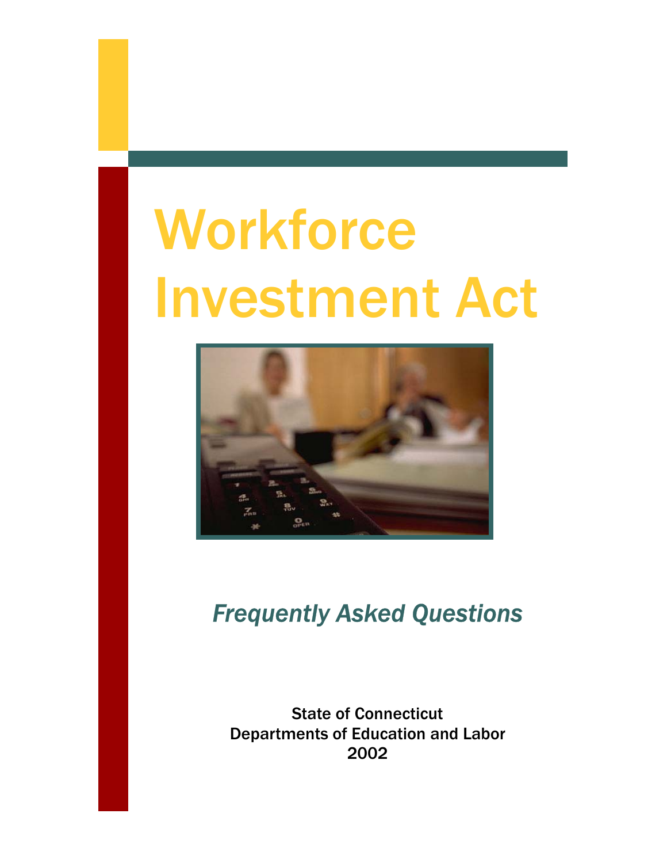# **Workforce** Investment Act



# *Frequently Asked Questions*

State of Connecticut Departments of Education and Labor 2002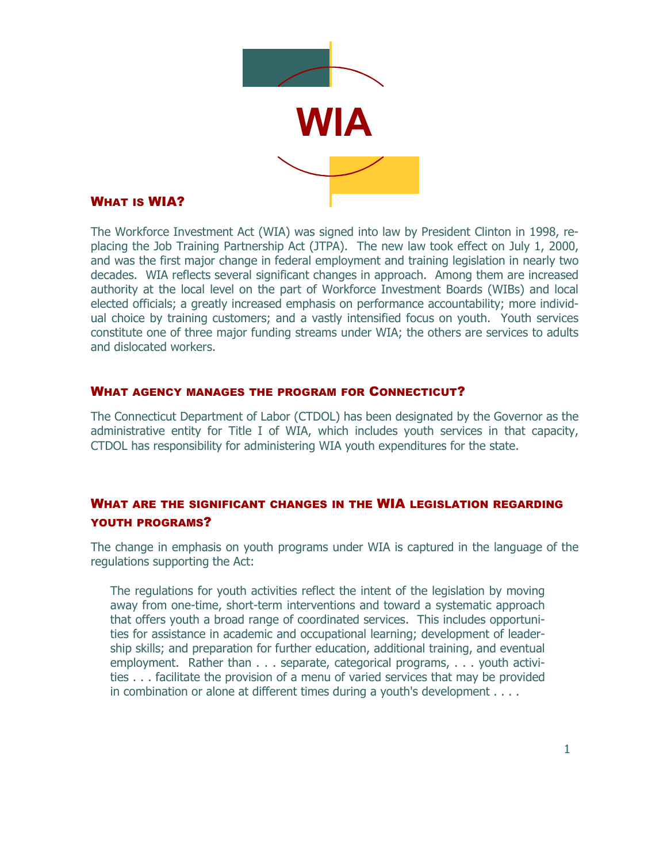

# WHAT IS WIA?

The Workforce Investment Act (WIA) was signed into law by President Clinton in 1998, replacing the Job Training Partnership Act (JTPA). The new law took effect on July 1, 2000, and was the first major change in federal employment and training legislation in nearly two decades. WIA reflects several significant changes in approach. Among them are increased authority at the local level on the part of Workforce Investment Boards (WIBs) and local elected officials; a greatly increased emphasis on performance accountability; more individual choice by training customers; and a vastly intensified focus on youth. Youth services constitute one of three major funding streams under WIA; the others are services to adults and dislocated workers.

# WHAT AGENCY MANAGES THE PROGRAM FOR CONNECTICUT?

The Connecticut Department of Labor (CTDOL) has been designated by the Governor as the administrative entity for Title I of WIA, which includes youth services in that capacity, CTDOL has responsibility for administering WIA youth expenditures for the state.

# WHAT ARE THE SIGNIFICANT CHANGES IN THE WIA LEGISLATION REGARDING YOUTH PROGRAMS?

The change in emphasis on youth programs under WIA is captured in the language of the regulations supporting the Act:

The regulations for youth activities reflect the intent of the legislation by moving away from one-time, short-term interventions and toward a systematic approach that offers youth a broad range of coordinated services. This includes opportunities for assistance in academic and occupational learning; development of leadership skills; and preparation for further education, additional training, and eventual employment. Rather than . . . separate, categorical programs, . . . youth activities . . . facilitate the provision of a menu of varied services that may be provided in combination or alone at different times during a youth's development . . . .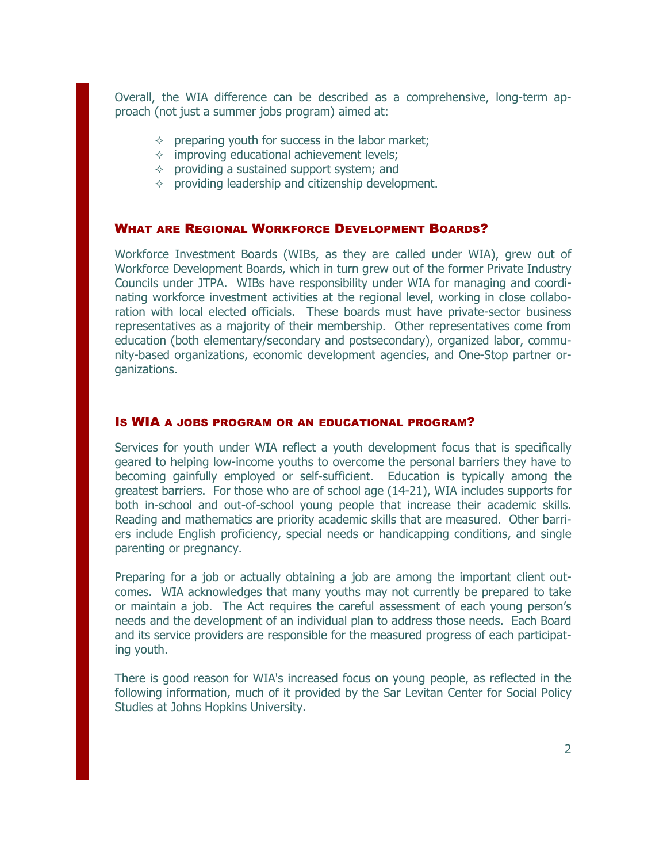Overall, the WIA difference can be described as a comprehensive, long-term approach (not just a summer jobs program) aimed at:

- $\Diamond$  preparing youth for success in the labor market;
- $\Diamond$  improving educational achievement levels;
- $\Diamond$  providing a sustained support system; and
- $\Diamond$  providing leadership and citizenship development.

#### WHAT ARE REGIONAL WORKFORCE DEVELOPMENT BOARDS?

Workforce Investment Boards (WIBs, as they are called under WIA), grew out of Workforce Development Boards, which in turn grew out of the former Private Industry Councils under JTPA. WIBs have responsibility under WIA for managing and coordinating workforce investment activities at the regional level, working in close collaboration with local elected officials. These boards must have private-sector business representatives as a majority of their membership. Other representatives come from education (both elementary/secondary and postsecondary), organized labor, community-based organizations, economic development agencies, and One-Stop partner organizations.

#### IS WIA A JOBS PROGRAM OR AN EDUCATIONAL PROGRAM?

Services for youth under WIA reflect a youth development focus that is specifically geared to helping low-income youths to overcome the personal barriers they have to becoming gainfully employed or self-sufficient. Education is typically among the greatest barriers. For those who are of school age (14-21), WIA includes supports for both in-school and out-of-school young people that increase their academic skills. Reading and mathematics are priority academic skills that are measured. Other barriers include English proficiency, special needs or handicapping conditions, and single parenting or pregnancy.

Preparing for a job or actually obtaining a job are among the important client outcomes. WIA acknowledges that many youths may not currently be prepared to take or maintain a job. The Act requires the careful assessment of each young person's needs and the development of an individual plan to address those needs. Each Board and its service providers are responsible for the measured progress of each participating youth.

There is good reason for WIA's increased focus on young people, as reflected in the following information, much of it provided by the Sar Levitan Center for Social Policy Studies at Johns Hopkins University.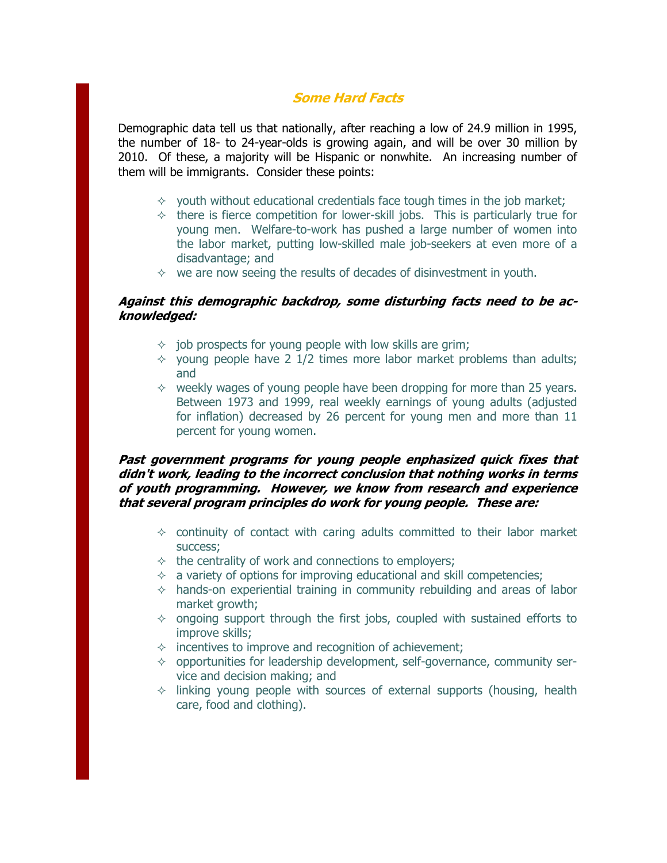# **Some Hard Facts**

Demographic data tell us that nationally, after reaching a low of 24.9 million in 1995, the number of 18- to 24-year-olds is growing again, and will be over 30 million by 2010. Of these, a majority will be Hispanic or nonwhite. An increasing number of them will be immigrants. Consider these points:

- $\Diamond$  youth without educational credentials face tough times in the job market;
- $\lozenge$  there is fierce competition for lower-skill jobs. This is particularly true for young men. Welfare-to-work has pushed a large number of women into the labor market, putting low-skilled male job-seekers at even more of a disadvantage; and
- $\Diamond$  we are now seeing the results of decades of disinvestment in youth.

#### **Against this demographic backdrop, some disturbing facts need to be acknowledged:**

- $\Diamond$  job prospects for young people with low skills are grim;
- $\Diamond$  young people have 2 1/2 times more labor market problems than adults; and
- $\Diamond$  weekly wages of young people have been dropping for more than 25 years. Between 1973 and 1999, real weekly earnings of young adults (adjusted for inflation) decreased by 26 percent for young men and more than 11 percent for young women.

#### **f Past government programs for young people enphasized quick ixes that didn't work, leading to the incorrect conclusion that nothing works in terms of youth programming. However, we know from research and experience that several program principles do work for young people. These are:**

- $\Diamond$  continuity of contact with caring adults committed to their labor market success;
- $\div$  the centrality of work and connections to employers;
- $\Diamond$  a variety of options for improving educational and skill competencies;
- $\Diamond$  hands-on experiential training in community rebuilding and areas of labor market growth;
- $\Diamond$  ongoing support through the first jobs, coupled with sustained efforts to improve skills;
- $\Diamond$  incentives to improve and recognition of achievement;
- $\lozenge$  opportunities for leadership development, self-governance, community service and decision making; and
- $\Diamond$  linking young people with sources of external supports (housing, health care, food and clothing).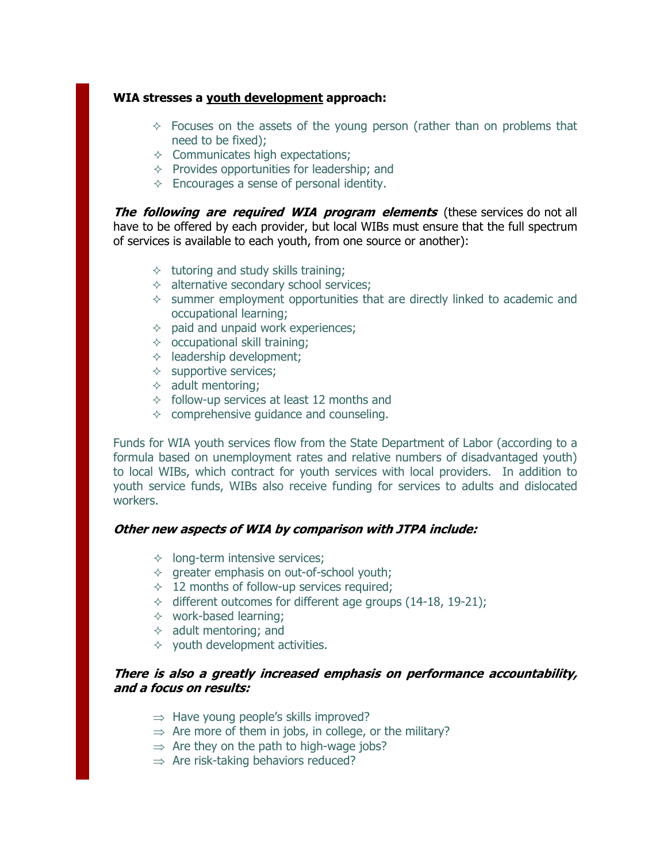#### **WIA stresses a youth development approach:**

- $\Diamond$  Focuses on the assets of the young person (rather than on problems that need to be fixed);
- $\Diamond$  Communicates high expectations;
- $\Diamond$  Provides opportunities for leadership; and
- $\Diamond$  Encourages a sense of personal identity.

**The following are required WIA program elements** (these services do not all have to be offered by each provider, but local WIBs must ensure that the full spectrum of services is available to each youth, from one source or another):

- $\Diamond$  tutoring and study skills training;
- $\Diamond$  alternative secondary school services;
- $\Diamond$  summer employment opportunities that are directly linked to academic and occupational learning;
- $\Diamond$  paid and unpaid work experiences;
- $\lozenge$  occupational skill training;
- $\Diamond$  leadership development;
- $\Diamond$  supportive services;
- $\Diamond$  adult mentoring;
- $\Diamond$  follow-up services at least 12 months and
- $\Diamond$  comprehensive guidance and counseling.

Funds for WIA youth services flow from the State Department of Labor (according to a formula based on unemployment rates and relative numbers of disadvantaged youth) to local WIBs, which contract for youth services with local providers. In addition to youth service funds, WIBs also receive funding for services to adults and dislocated workers.

#### **Other new aspects of WIA by comparison with JTPA include:**

- $\lozenge$  long-term intensive services;
- $\Diamond$  greater emphasis on out-of-school youth;
- $\div$  12 months of follow-up services required;
- $\div$  different outcomes for different age groups (14-18, 19-21);
- $\div$  work-based learning;
- $\Diamond$  adult mentoring; and
- $\Diamond$  youth development activities.

#### **There is also a greatly increased emphasis on performance accountability, and a focus on results:**

- $\Rightarrow$  Have young people's skills improved?
- $\Rightarrow$  Are more of them in jobs, in college, or the military?
- $\Rightarrow$  Are they on the path to high-wage jobs?
- $\Rightarrow$  Are risk-taking behaviors reduced?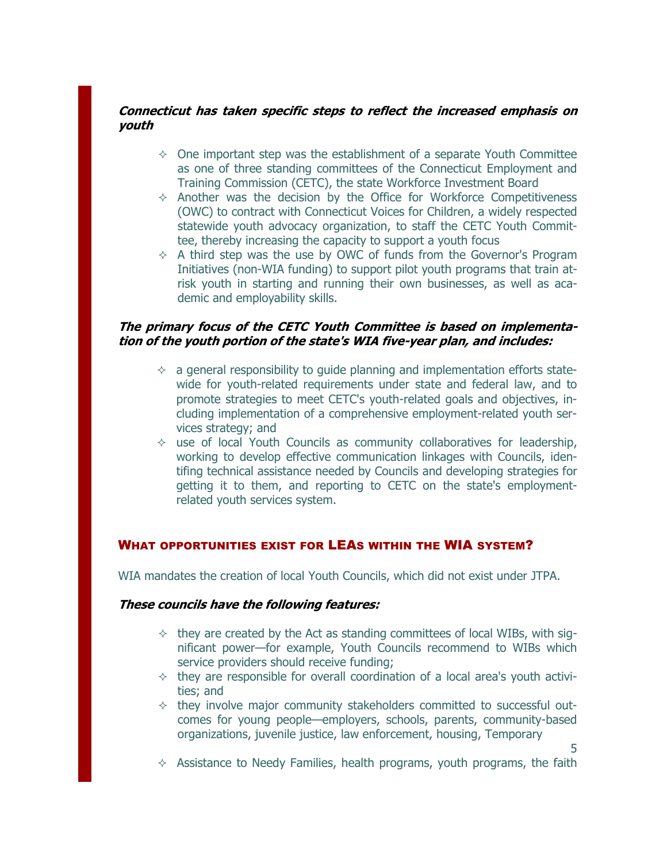# **Connecticut has taken specific steps to reflect the increased emphasis on youth**

- $\Diamond$  One important step was the establishment of a separate Youth Committee as one of three standing committees of the Connecticut Employment and Training Commission (CETC), the state Workforce Investment Board
- $\Diamond$  Another was the decision by the Office for Workforce Competitiveness (OWC) to contract with Connecticut Voices for Children, a widely respected statewide youth advocacy organization, to staff the CETC Youth Committee, thereby increasing the capacity to support a youth focus
- $\Diamond$  A third step was the use by OWC of funds from the Governor's Program Initiatives (non-WIA funding) to support pilot youth programs that train atrisk youth in starting and running their own businesses, as well as academic and employability skills.

### **The primary focus of the CETC Youth Committee is based on implementation of the youth portion of the state's WIA five-year plan, and includes:**

- $\Diamond$  a general responsibility to quide planning and implementation efforts statewide for youth-related requirements under state and federal law, and to promote strategies to meet CETC's youth-related goals and objectives, including implementation of a comprehensive employment-related youth services strategy; and
- $\Diamond$  use of local Youth Councils as community collaboratives for leadership, working to develop effective communication linkages with Councils, identifing technical assistance needed by Councils and developing strategies for getting it to them, and reporting to CETC on the state's employmentrelated youth services system.

# WHAT OPPORTUNITIES EXIST FOR LEAS WITHIN THE WIA SYSTEM?

WIA mandates the creation of local Youth Councils, which did not exist under JTPA.

#### **These councils have the following features:**

- $\div$  they are created by the Act as standing committees of local WIBs, with significant power—for example, Youth Councils recommend to WIBs which service providers should receive funding;
- $\div$  they are responsible for overall coordination of a local area's youth activities; and
- $\Diamond$  they involve major community stakeholders committed to successful outcomes for young people—employers, schools, parents, community-based organizations, juvenile justice, law enforcement, housing, Temporary
- $\Diamond$  Assistance to Needy Families, health programs, youth programs, the faith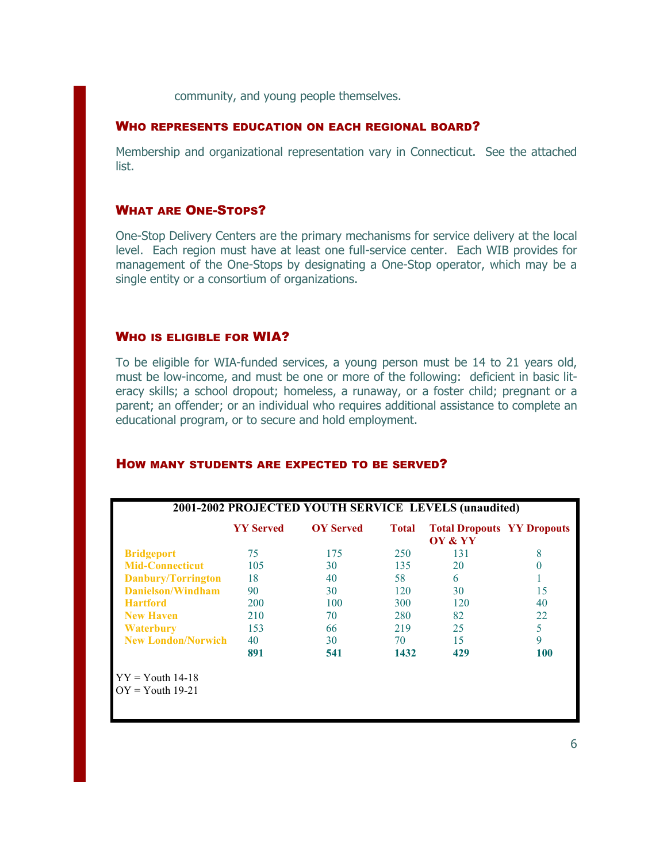community, and young people themselves.

#### WHO REPRESENTS EDUCATION ON EACH REGIONAL BOARD?

Membership and organizational representation vary in Connecticut. See the attached list.

#### WHAT ARE ONE-STOPS?

One-Stop Delivery Centers are the primary mechanisms for service delivery at the local level. Each region must have at least one full-service center. Each WIB provides for management of the One-Stops by designating a One-Stop operator, which may be a single entity or a consortium of organizations.

#### WHO IS ELIGIBLE FOR WIA?

To be eligible for WIA-funded services, a young person must be 14 to 21 years old, must be low-income, and must be one or more of the following: deficient in basic literacy skills; a school dropout; homeless, a runaway, or a foster child; pregnant or a parent; an offender; or an individual who requires additional assistance to complete an educational program, or to secure and hold employment.

|                           | <b>YY Served</b> | <b>OV</b> Served | <b>Total</b> | <b>Total Dropouts YY Dropouts</b><br>OY & YY |          |
|---------------------------|------------------|------------------|--------------|----------------------------------------------|----------|
| <b>Bridgeport</b>         | 75               | 175              | 250          | 131                                          | 8        |
| <b>Mid-Connecticut</b>    | 105              | 30               | 135          | 20                                           | $\theta$ |
| Danbury/Torrington        | 18               | 40               | 58           | 6                                            |          |
| Danielson/Windham         | 90               | 30               | 120          | 30                                           | 15       |
| <b>Hartford</b>           | <b>200</b>       | 100              | 300          | 120                                          | 40       |
| <b>New Haven</b>          | 210              | 70               | 280          | 82                                           | 22       |
| Waterbury                 | 153              | 66               | 219          | 25                                           | 5        |
| <b>New London/Norwich</b> | 40               | 30               | 70           | 15                                           | 9        |
|                           | 891              | 541              | 1432         | 429                                          | 100      |
| $YY = Youth 14-18$        |                  |                  |              |                                              |          |

#### HOW MANY STUDENTS ARE EXPECTED TO BE SERVED?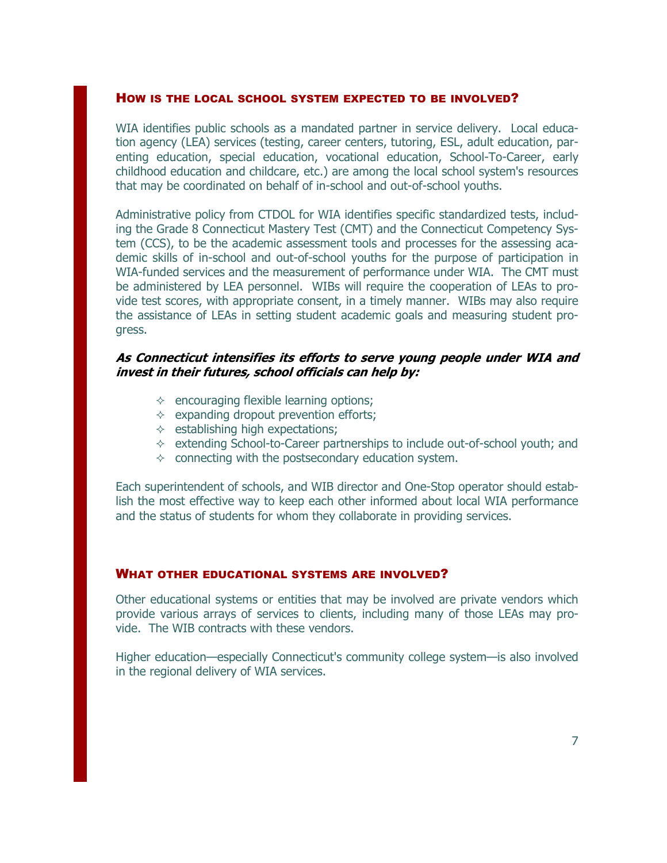#### HOW IS THE LOCAL SCHOOL SYSTEM EXPECTED TO BE INVOLVED?

WIA identifies public schools as a mandated partner in service delivery. Local education agency (LEA) services (testing, career centers, tutoring, ESL, adult education, parenting education, special education, vocational education, School-To-Career, early childhood education and childcare, etc.) are among the local school system's resources that may be coordinated on behalf of in-school and out-of-school youths.

Administrative policy from CTDOL for WIA identifies specific standardized tests, including the Grade 8 Connecticut Mastery Test (CMT) and the Connecticut Competency System (CCS), to be the academic assessment tools and processes for the assessing academic skills of in-school and out-of-school youths for the purpose of participation in WIA-funded services and the measurement of performance under WIA. The CMT must be administered by LEA personnel. WIBs will require the cooperation of LEAs to provide test scores, with appropriate consent, in a timely manner. WIBs may also require the assistance of LEAs in setting student academic goals and measuring student progress.

#### **As Connecticut intensifies its efforts to serve young people under WIA and invest in their futures, school officials can help by:**

- $\Diamond$  encouraging flexible learning options;
- $\Diamond$  expanding dropout prevention efforts;
- $\Diamond$  establishing high expectations;
- $\Diamond$  extending School-to-Career partnerships to include out-of-school youth; and
- $\Diamond$  connecting with the postsecondary education system.

Each superintendent of schools, and WIB director and One-Stop operator should establish the most effective way to keep each other informed about local WIA performance and the status of students for whom they collaborate in providing services.

#### WHAT OTHER EDUCATIONAL SYSTEMS ARE INVOLVED?

Other educational systems or entities that may be involved are private vendors which provide various arrays of services to clients, including many of those LEAs may provide. The WIB contracts with these vendors.

Higher education—especially Connecticut's community college system—is also involved in the regional delivery of WIA services.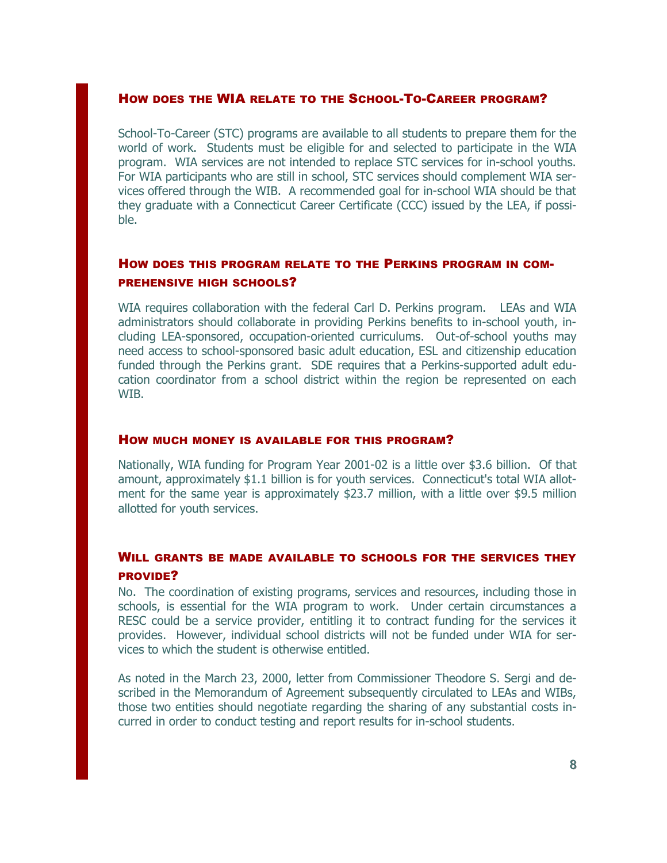#### HOW DOES THE WIA RELATE TO THE SCHOOL-TO-CAREER PROGRAM?

School-To-Career (STC) programs are available to all students to prepare them for the world of work. Students must be eligible for and selected to participate in the WIA program. WIA services are not intended to replace STC services for in-school youths. For WIA participants who are still in school, STC services should complement WIA services offered through the WIB. A recommended goal for in-school WIA should be that they graduate with a Connecticut Career Certificate (CCC) issued by the LEA, if possible.

# HOW DOES THIS PROGRAM RELATE TO THE PERKINS PROGRAM IN COM-PREHENSIVE HIGH SCHOOLS?

WIA requires collaboration with the federal Carl D. Perkins program. LEAs and WIA administrators should collaborate in providing Perkins benefits to in-school youth, including LEA-sponsored, occupation-oriented curriculums. Out-of-school youths may need access to school-sponsored basic adult education, ESL and citizenship education funded through the Perkins grant. SDE requires that a Perkins-supported adult education coordinator from a school district within the region be represented on each WIB.

#### HOW MUCH MONEY IS AVAILABLE FOR THIS PROGRAM?

Nationally, WIA funding for Program Year 2001-02 is a little over \$3.6 billion. Of that amount, approximately \$1.1 billion is for youth services. Connecticut's total WIA allotment for the same year is approximately \$23.7 million, with a little over \$9.5 million allotted for youth services.

# WILL GRANTS BE MADE AVAILABLE TO SCHOOLS FOR THE SERVICES THEY PROVIDE?

No. The coordination of existing programs, services and resources, including those in schools, is essential for the WIA program to work. Under certain circumstances a RESC could be a service provider, entitling it to contract funding for the services it provides. However, individual school districts will not be funded under WIA for services to which the student is otherwise entitled.

As noted in the March 23, 2000, letter from Commissioner Theodore S. Sergi and described in the Memorandum of Agreement subsequently circulated to LEAs and WIBs, those two entities should negotiate regarding the sharing of any substantial costs incurred in order to conduct testing and report results for in-school students.